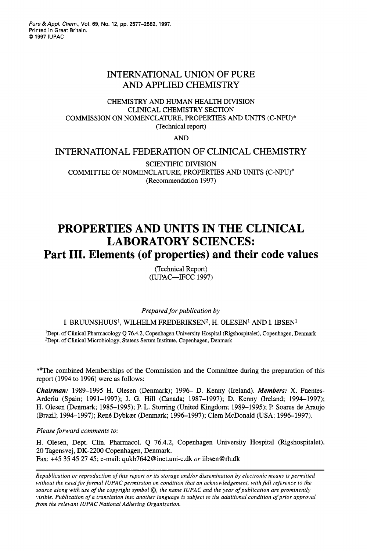# INTERNATIONAL UNION OF PURE AND APPLIED CHEMISTRY

## CHEMISTRY AND HUMAN HEALTH DIVISION CLINICAL CHEMISTRY SECTION COMMISSION ON NOMENCLATURE, PROPERTIES AND UNITS (C-NPU)\* (Technical report)

AND

## INTERNATIONAL FEDERATION OF CLINICAL CHEMISTRY

SCIENTIFIC DIVISION COMMITTEE OF NOMENCLATURE, PROPERTIES AND UNITS (C-NPU)<sup>#</sup> (Recommendation 1997)

# **PROPERTIES AND UNITS IN THE CLINICAL LABORATORY SCIENCES: Part 111. Elements (of properties) and their code values**

(Technical Report) (IUPAC-FCC 1997)

*Prepared for publication by* 

### I. BRUUNSHUUS', WILHELM FREDERIKSEN2, H. OLESEN' AND I. IBSEN'

'Dept. **of** Clinical Pharmacology Q **76.4.2,** Copenhagen University Hospital (Rigshospitalet), Copenhagen, Denmark <sup>2</sup>Dept. of Clinical Microbiology, Statens Serum Institute, Copenhagen, Denmark

\*\*The combined Memberships of the Commission and the Committee during the preparation of this report (1994 to 1996) were as follows:

*Chairman:* 1989-1995 H. Olesen (Denmark); 1996- D. Kenny (Ireland). *Members:* **X.** Fuentes-Arderiu (Spain; 1991-1997); J. *G.* Hill (Canada; 1987-1997); D. Kenny (Ireland; 1994-1997); H. Olesen (Denmark; 1985-1995); P. L. Stoning (United Kingdom; 1989-1995); P. Soares de Araujo (Brazil; 1994-1997); Rent Dybkaer (Denmark; 1996-1997); Clem McDonald (USA; 1996-1997).

*Please forward comments to:* 

H. Olesen, Dept. Clin. Phannacol. Q 76.4.2, Copenhagen University Hospital (Rigshospitalet), 20 Tagensvej, DK-2200 Copenhagen, Denmark. Fax: +45 35 45 27 45; e-mail: qukb7642@inet.uni-c.dk *or* iibsen@rh.dk

*Republication or reproduction of this report or its storage and/or dissemination by electronic means is permitted*  without the need for formal IUPAC permission on condition that an acknowledgement, with full reference to the *source along with use of the copyright symbol 0, the name IUPAC and the year of publication are prominently visible. Publication of a translation into another language is subject to the additional condition of prior approval from the relevant IUPAC National Adhering Organization.*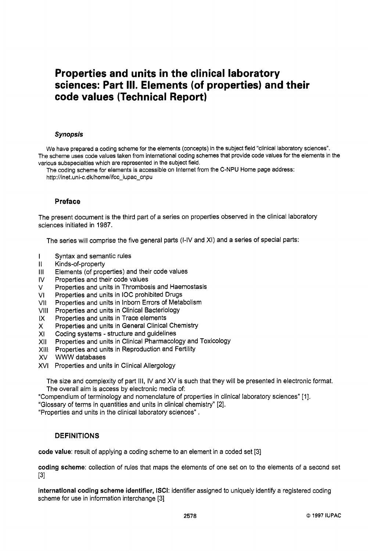# **Properties and units in the clinical laboratory sciences: Part 111. Elements (of properties) and their code values (Technical Report)**

#### *Synopsis*

We have prepared a coding scheme for the elements (concepts) in the subject field "clinical laboratory sciences". The scheme uses code values taken from international coding schemes that provide code values for the elements in the various subspecialties which are represented in the subject field.

The coding scheme for elements is accessible on Internet from the C-NPU Home page address: http://inet.uni-c.dk/home/ifcc-iupac-cnpu

### **Preface**

The present document is the third part of a series on properties observed in the clinical laboratory sciences initiated in **1987.** 

The series will comprise the five general parts (I-IV and XI) and a series of special parts:

- I Syntax and semantic rules
- II Kinds-of-property
- Ill Elements (of properties) and their code values
- IV Properties and their code values
- V Properties and units in Thrombosis and Haemostasis
- VI Properties and units in IOC prohibited Drugs
- VII Properties and units in Inborn Errors of Metabolism
- Vlll Properties and units in Clinical Bacteriology
- IX Properties and units in Trace elements
- X Properties and units in General Clinical Chemistry
- XI Coding systems structure and guidelines
- XI1 Properties and units in Clinical Pharmacology and Toxicology
- Xlll Properties and units in Reproduction and Fertility
- XV WWW databases
- XVI Properties and units in Clinical Allergology

The size and complexity of part 111, IV and XV is such that they will be presented in electronic format. The overall aim is access by electronic media of:

"Compendium of terminology and nomenclature of properties in clinical laboratory sciences" [I].

"Glossary of terms in quantities and units in clinical chemistry" **[2].** 

"Properties and units in the clinical laboratory sciences" .

### **DEFINITIONS**

code value: result of applying a coding scheme to an element in a coded set [3]

coding scheme: collection of rules that maps the elements of one set on to the elements *of* a second set 131

international coding scheme identifier, **ISCI:** identifier assigned to uniquely identify a registered coding scheme for use in information interchange [3]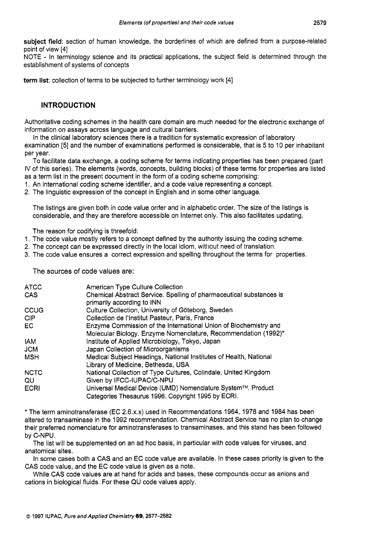subject field: section of human knowledge, the borderlines of which are defined from a purpose-related point of view [4]

NOTE - In terminology science and its practical applications, the subject field is determined through the establishment of systems of concepts

term list: collection of terms to be subjected to further terminology work [4]

## **INTRODUCTION**

Authoritative coding schemes in the health care domain are much needed for the electronic exchange of information on assays across language and cultural barriers.

In the clinical laboratory sciences there is a tradition for systematic expression of laboratory

examination *[5]* and the number of examinations performed is considerable, that is *5* to 10 per inhabitant per year.

To facilitate data exchange, a coding scheme for terms indicating properties has been prepared (part IV of this series). The elements (words, concepts, building blocks) of these terms for properties are listed as a term list in the present document in the form of a coding scheme comprising:

1. An international coding scheme identifier, and a code value representing a concept.

2. The linguistic expression of the concept in English and in some other language.

The listings are given both in code value order and in alphabetic order. The size of the listings is considerable, and they are therefore accessible on Internet only. This also facilitates updating.

The reason for codifying is threefold:

- 1. The code value mostly refers to a concept defined by the authority issuing the coding scheme.
- 2. The concept can be expressed directly in the local idiom, without need of translation.
- 3. The code value ensures a correct expression and spelling throughout the terms for properties.

The sources of code values are:

| <b>ATCC</b><br>CAS | American Type Culture Collection<br>Chemical Abstract Service. Spelling of pharmaceutical substances is |
|--------------------|---------------------------------------------------------------------------------------------------------|
|                    | primarily according to INN                                                                              |
| CCUG               | Culture Collection, University of Göteborg, Sweden                                                      |
| CIP.               | Collection de l'Institut Pasteur, Paris, France                                                         |
| EC.                | Enzyme Commission of the International Union of Biochemistry and                                        |
|                    | Molecular Biology. Enzyme Nomenclature, Recommendation (1992)*                                          |
| <b>IAM</b>         | Institute of Applied Microbiology, Tokyo, Japan                                                         |
| <b>JCM</b>         | Japan Collection of Microorganisms                                                                      |
| <b>MSH</b>         | Medical Subject Headings, National Institutes of Health, National                                       |
|                    | Library of Medicine, Bethesda, USA                                                                      |
| <b>NCTC</b>        | National Collection of Type Cultures, Colindale, United Kingdom                                         |
| QU                 | Given by IFCC-IUPAC/C-NPU                                                                               |
| <b>ECRI</b>        | Universal Medical Device (UMD) Nomenclature System™. Product                                            |
|                    | Categories Thesaurus 1996. Copyright 1995 by ECRI.                                                      |

\* The term aminotransferase (EC 2.6.x.x) used in Recommendations 1964, 1978 and 1984 has been altered to transaminase in the 1992 recommendation. Chemical Abstract Service has no plan to change their preferred nomenclature for aminotransferases to transaminases, and this stand has been followed by C-NPU.

The list will be supplemented on an ad hoc basis, in particular with code values for viruses, and anatomical sites.

In some cases both a CAS and an EC code value are available. In these cases priority is given to the CAS code value, and the EC code value is given as a note.

While CAS code values are at hand for acids and bases, these compounds occur as anions and cations in biological fluids. For these QU code values apply.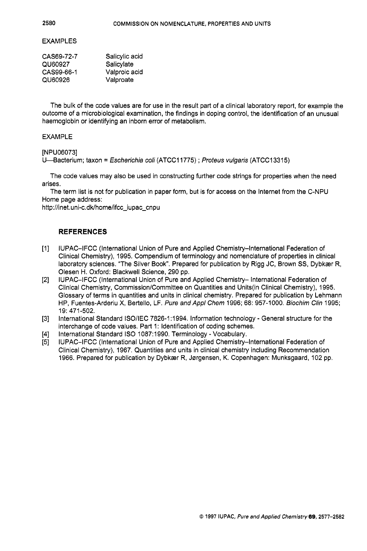#### EXAMPLES

| CAS69-72-7 | Salicylic acid |
|------------|----------------|
| QU60927    | Salicylate     |
| CAS99-66-1 | Valproic acid  |
| QU60926    | Valproate      |

The bulk of the code values are for use in the result part of a clinical laboratory report, for example the outcome of a microbiological examination, the findings in doping control, the identification of an unusual haemoglobin or identifying an inborn error of metabolism.

### EXAMPLE

[NPU06073]

U4acterium; taxon = *Escherichia coli* (ATCCI 1775) ; *Profeus vulgaris* (ATCC13315)

The code values may also be used in constructing further code strings for properties when the need arises.

The term list is not for publication in paper form, but is for access on the Internet from the C-NPU Home page address:

http://inet.uni-c.dk/home/ifcc-iupac-cnpu

### **REFERENCES**

- $[1]$ IUPAC-IFCC (International Union of Pure and Applied Chemistry-International Federation of Clinical chemistry), 1995. Compendium of terminology and nomenclature of properties in clinical laboratory sciences. "The Silver Book". Prepared for publication by Rigg JC, Brown SS, Dybkær R, Olesen H. Oxford: Blackwell Science, 290 pp.
- $[2]$ IUPAC-IFCC (International Union of Pure and Applied Chemistry- International Federation of Clinical Chemistry, Commission/Committee on Quantities and Units(in Clinical Chemistry), 1995. Glossary of terms in quantities and units in clinical chemistry. Prepared for publication by Lehmann HP, Fuentes-Arderiu X, Bertello, LF. *Pure and Appl Chem* 1996; 68: 957-1 000. *Biochim Clin* 1995; 19: 471-502.
- $[3]$ International Standard ISO/IEC 7826-1:1994. Information technology - General structure for the interchange of code values. Part 1: Identification of coding schemes.
- International Standard IS0 1087:1990. Terminology Vocabulary. [4]
- IUPAC-IFCC (International Union of Pure and Applied Chemistry-International Federation of  $[5]$ Clinical Chemistry), 1967. Quantities and units in clinical chemistry including Recommendation 1966. Prepared for publication by Dybkær R, Jørgensen, K. Copenhagen: Munksgaard, 102 pp.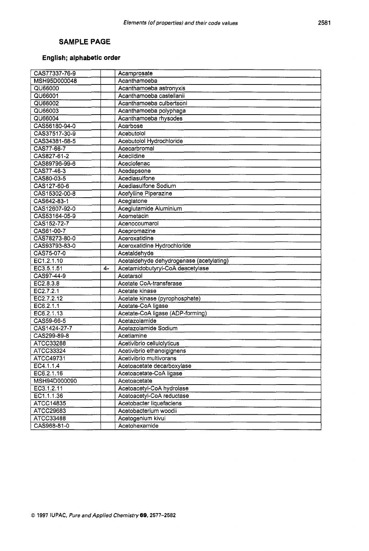## **SAMPLE PAGE**

## **English; alphabetic order**

| CAS77337-76-9 |    | Acamprosate                              |
|---------------|----|------------------------------------------|
| MSH95D000048  |    | Acanthamoeba                             |
| QU66000       |    | Acanthamoeba astronyxis                  |
| QU66001       |    | Acanthamoeba castellanii                 |
| QU66002       |    | Acanthamoeba culbertsoni                 |
| QU66003       |    | Acanthamoeba polyphaga                   |
| QU66004       |    | Acanthamoeba rhysodes                    |
| CAS56180-94-0 |    | Acarbose                                 |
| CAS37517-30-9 |    | Acebutolol                               |
| CAS34381-68-5 |    | Acebutolol Hydrochloride                 |
| CAS77-66-7    |    | Acecarbromal                             |
| CAS827-61-2   |    | Aceclidine                               |
| CAS89796-99-6 |    | Aceclofenac                              |
| CAS77-46-3    |    | Acedapsone                               |
| CAS80-03-5    |    | Acediasulfone                            |
| CAS127-60-6   |    | Acediasulfone Sodium                     |
| CAS15302-00-8 |    | Acefylline Piperazine                    |
| CAS642-83-1   |    | Aceglatone                               |
| CAS12607-92-0 |    | Aceglutamide Aluminium                   |
| CAS53164-05-9 |    | Acemetacin                               |
| CAS152-72-7   |    | Acenocoumarol                            |
| CAS61-00-7    |    | Acepromazine                             |
| CAS78273-80-0 |    | Aceroxatidine                            |
| CAS93793-83-0 |    | Aceroxatidine Hydrochloride              |
| CAS75-07-0    |    | Acetaldehyde                             |
| EC1.2.1.10    |    | Acetaldehyde dehydrogenase (acetylating) |
| EC3.5.1.51    | 4- | Acetamidobutyryl-CoA deacetylase         |
| CAS97-44-9    |    | Acetarsol                                |
| EC2.8.3.8     |    | Acetate CoA-transferase                  |
| EC2.7.2.1     |    | Acetate kinase                           |
| EC2.7.2.12    |    | Acetate kinase (pyrophosphate)           |
| EC6.2.1.1     |    | Acetate-CoA ligase                       |
| EC6.2.1.13    |    | Acetate-CoA ligase (ADP-forming)         |
| CAS59-66-5    |    | Acetazolamide                            |
| CAS1424-27-7  |    | Acetazolamide Sodium                     |
| CAS299-89-8   |    | Acetiamine                               |
| ATCC33288     |    | Acetivibrio cellulolyticus               |
| ATCC33324     |    | Acetivibrio ethanolgignens               |
| ATCC49731     |    | Acetivibrio multivorans                  |
| EC4.1.1.4     |    | Acetoacetate decarboxylase               |
| EC6.2.1.16    |    | Acetoacetate-CoA ligase                  |
| MSH94D000090  |    | Acetoacetate                             |
| EC3.1.2.11    |    | Acetoacetyl-CoA hydrolase                |
| EC1.1.1.36    |    | Acetoacetyl-CoA reductase                |
| ATCC14835     |    | Acetobacter liquefaciens                 |
| ATCC29683     |    | Acetobacterium woodii                    |
| ATCC33488     |    | Acetogenium kivui                        |
| CAS968-81-0   |    | Acetohexamide                            |